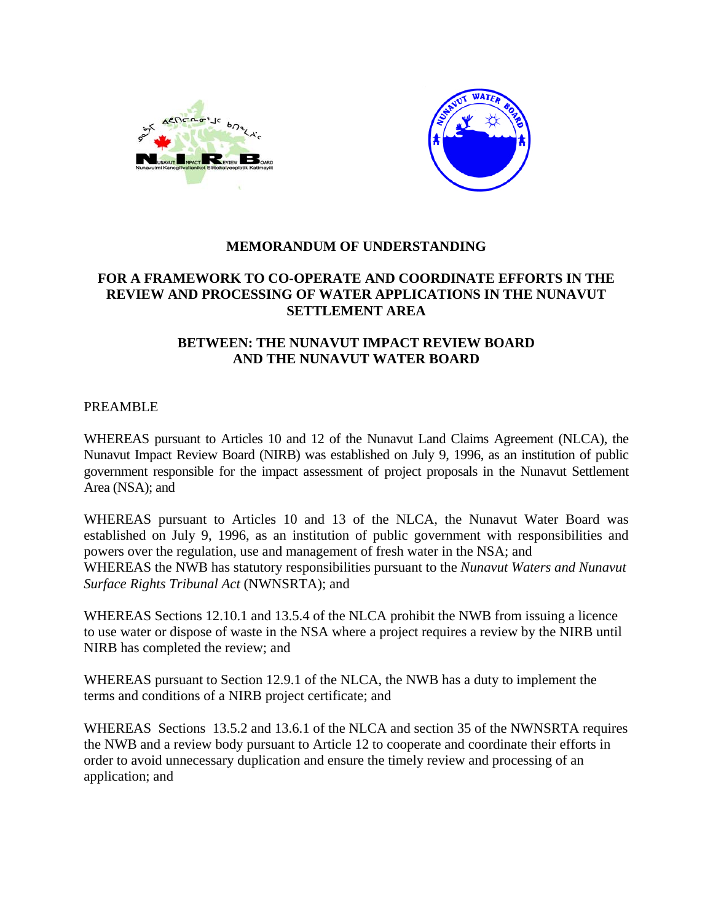



## **MEMORANDUM OF UNDERSTANDING**

# **FOR A FRAMEWORK TO CO-OPERATE AND COORDINATE EFFORTS IN THE REVIEW AND PROCESSING OF WATER APPLICATIONS IN THE NUNAVUT SETTLEMENT AREA**

### **BETWEEN: THE NUNAVUT IMPACT REVIEW BOARD AND THE NUNAVUT WATER BOARD**

#### PREAMBLE

WHEREAS pursuant to Articles 10 and 12 of the Nunavut Land Claims Agreement (NLCA), the Nunavut Impact Review Board (NIRB) was established on July 9, 1996, as an institution of public government responsible for the impact assessment of project proposals in the Nunavut Settlement Area (NSA); and

WHEREAS pursuant to Articles 10 and 13 of the NLCA, the Nunavut Water Board was established on July 9, 1996, as an institution of public government with responsibilities and powers over the regulation, use and management of fresh water in the NSA; and WHEREAS the NWB has statutory responsibilities pursuant to the *Nunavut Waters and Nunavut Surface Rights Tribunal Act* (NWNSRTA); and

WHEREAS Sections 12.10.1 and 13.5.4 of the NLCA prohibit the NWB from issuing a licence to use water or dispose of waste in the NSA where a project requires a review by the NIRB until NIRB has completed the review; and

WHEREAS pursuant to Section 12.9.1 of the NLCA, the NWB has a duty to implement the terms and conditions of a NIRB project certificate; and

WHEREAS Sections 13.5.2 and 13.6.1 of the NLCA and section 35 of the NWNSRTA requires the NWB and a review body pursuant to Article 12 to cooperate and coordinate their efforts in order to avoid unnecessary duplication and ensure the timely review and processing of an application; and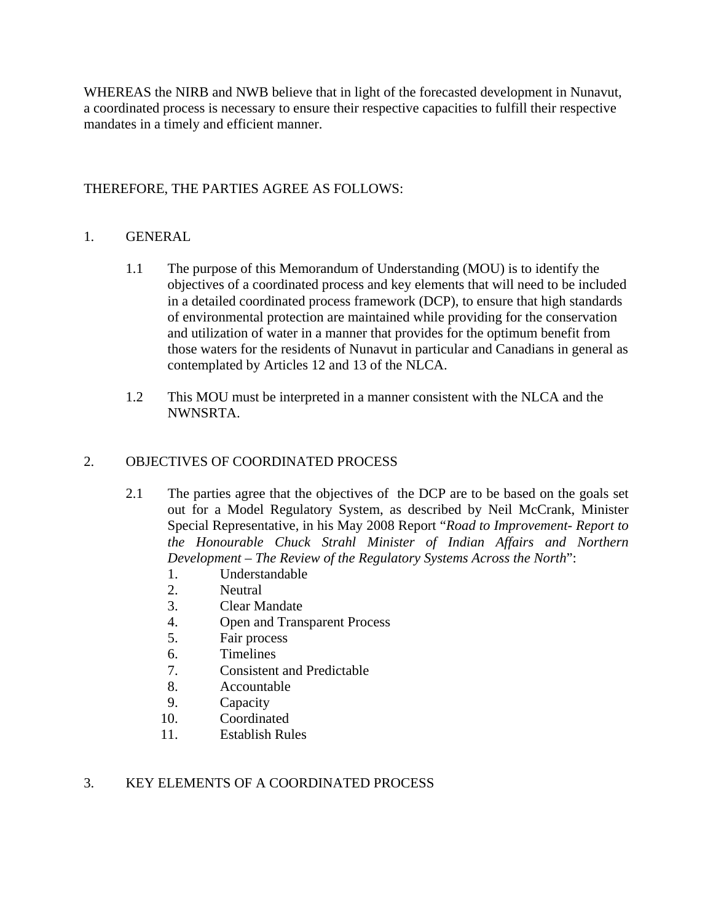WHEREAS the NIRB and NWB believe that in light of the forecasted development in Nunavut, a coordinated process is necessary to ensure their respective capacities to fulfill their respective mandates in a timely and efficient manner.

# THEREFORE, THE PARTIES AGREE AS FOLLOWS:

## 1. GENERAL

- 1.1 The purpose of this Memorandum of Understanding (MOU) is to identify the objectives of a coordinated process and key elements that will need to be included in a detailed coordinated process framework (DCP), to ensure that high standards of environmental protection are maintained while providing for the conservation and utilization of water in a manner that provides for the optimum benefit from those waters for the residents of Nunavut in particular and Canadians in general as contemplated by Articles 12 and 13 of the NLCA.
- 1.2 This MOU must be interpreted in a manner consistent with the NLCA and the NWNSRTA.

## 2. OBJECTIVES OF COORDINATED PROCESS

- 2.1 The parties agree that the objectives of the DCP are to be based on the goals set out for a Model Regulatory System, as described by Neil McCrank, Minister Special Representative, in his May 2008 Report "*Road to Improvement- Report to the Honourable Chuck Strahl Minister of Indian Affairs and Northern Development – The Review of the Regulatory Systems Across the North*":
	- 1. Understandable
	- 2. Neutral
	- 3. Clear Mandate
	- 4. Open and Transparent Process
	- 5. Fair process
	- 6. Timelines
	- 7. Consistent and Predictable
	- 8. Accountable
	- 9. Capacity
	- 10. Coordinated
	- 11. Establish Rules

#### 3. KEY ELEMENTS OF A COORDINATED PROCESS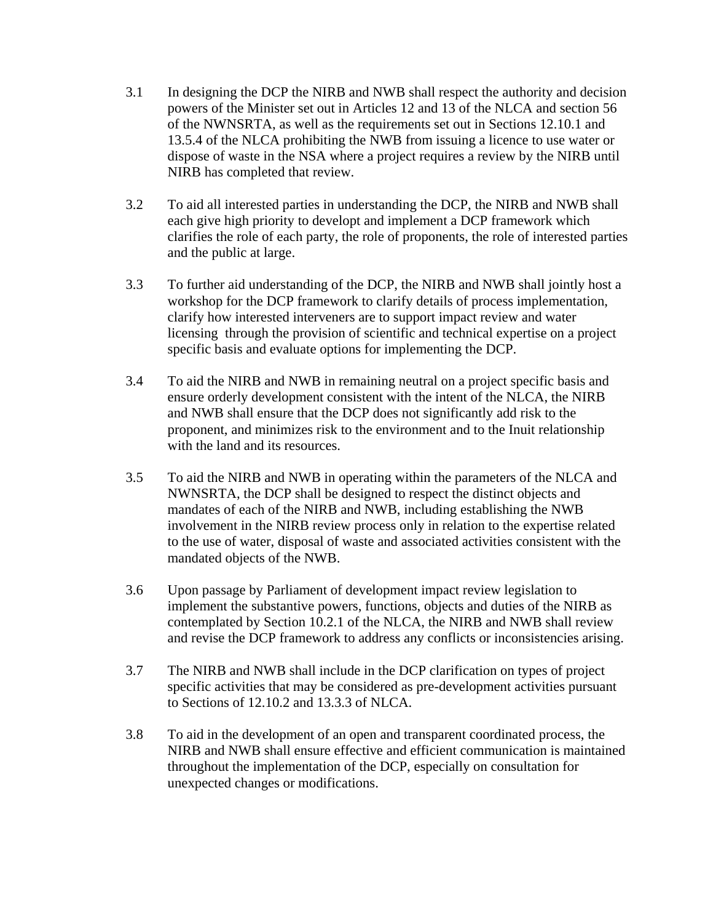- 3.1 In designing the DCP the NIRB and NWB shall respect the authority and decision powers of the Minister set out in Articles 12 and 13 of the NLCA and section 56 of the NWNSRTA, as well as the requirements set out in Sections 12.10.1 and 13.5.4 of the NLCA prohibiting the NWB from issuing a licence to use water or dispose of waste in the NSA where a project requires a review by the NIRB until NIRB has completed that review.
- 3.2 To aid all interested parties in understanding the DCP, the NIRB and NWB shall each give high priority to developt and implement a DCP framework which clarifies the role of each party, the role of proponents, the role of interested parties and the public at large.
- 3.3 To further aid understanding of the DCP, the NIRB and NWB shall jointly host a workshop for the DCP framework to clarify details of process implementation, clarify how interested interveners are to support impact review and water licensing through the provision of scientific and technical expertise on a project specific basis and evaluate options for implementing the DCP.
- 3.4 To aid the NIRB and NWB in remaining neutral on a project specific basis and ensure orderly development consistent with the intent of the NLCA, the NIRB and NWB shall ensure that the DCP does not significantly add risk to the proponent, and minimizes risk to the environment and to the Inuit relationship with the land and its resources.
- 3.5 To aid the NIRB and NWB in operating within the parameters of the NLCA and NWNSRTA, the DCP shall be designed to respect the distinct objects and mandates of each of the NIRB and NWB, including establishing the NWB involvement in the NIRB review process only in relation to the expertise related to the use of water, disposal of waste and associated activities consistent with the mandated objects of the NWB.
- 3.6 Upon passage by Parliament of development impact review legislation to implement the substantive powers, functions, objects and duties of the NIRB as contemplated by Section 10.2.1 of the NLCA, the NIRB and NWB shall review and revise the DCP framework to address any conflicts or inconsistencies arising.
- 3.7 The NIRB and NWB shall include in the DCP clarification on types of project specific activities that may be considered as pre-development activities pursuant to Sections of 12.10.2 and 13.3.3 of NLCA.
- 3.8 To aid in the development of an open and transparent coordinated process, the NIRB and NWB shall ensure effective and efficient communication is maintained throughout the implementation of the DCP, especially on consultation for unexpected changes or modifications.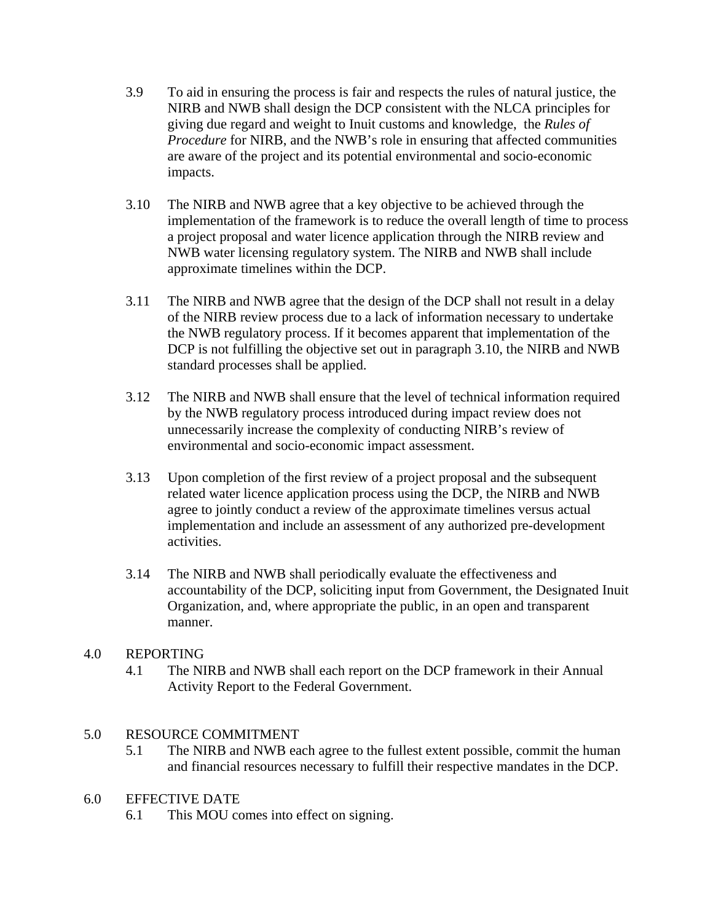- 3.9 To aid in ensuring the process is fair and respects the rules of natural justice, the NIRB and NWB shall design the DCP consistent with the NLCA principles for giving due regard and weight to Inuit customs and knowledge, the *Rules of Procedure* for NIRB, and the NWB's role in ensuring that affected communities are aware of the project and its potential environmental and socio-economic impacts.
- 3.10 The NIRB and NWB agree that a key objective to be achieved through the implementation of the framework is to reduce the overall length of time to process a project proposal and water licence application through the NIRB review and NWB water licensing regulatory system. The NIRB and NWB shall include approximate timelines within the DCP.
- 3.11 The NIRB and NWB agree that the design of the DCP shall not result in a delay of the NIRB review process due to a lack of information necessary to undertake the NWB regulatory process. If it becomes apparent that implementation of the DCP is not fulfilling the objective set out in paragraph 3.10, the NIRB and NWB standard processes shall be applied.
- 3.12 The NIRB and NWB shall ensure that the level of technical information required by the NWB regulatory process introduced during impact review does not unnecessarily increase the complexity of conducting NIRB's review of environmental and socio-economic impact assessment.
- 3.13 Upon completion of the first review of a project proposal and the subsequent related water licence application process using the DCP, the NIRB and NWB agree to jointly conduct a review of the approximate timelines versus actual implementation and include an assessment of any authorized pre-development activities.
- 3.14 The NIRB and NWB shall periodically evaluate the effectiveness and accountability of the DCP, soliciting input from Government, the Designated Inuit Organization, and, where appropriate the public, in an open and transparent manner.

#### 4.0 REPORTING

4.1 The NIRB and NWB shall each report on the DCP framework in their Annual Activity Report to the Federal Government.

## 5.0 RESOURCE COMMITMENT

5.1 The NIRB and NWB each agree to the fullest extent possible, commit the human and financial resources necessary to fulfill their respective mandates in the DCP.

#### 6.0 EFFECTIVE DATE

6.1 This MOU comes into effect on signing.